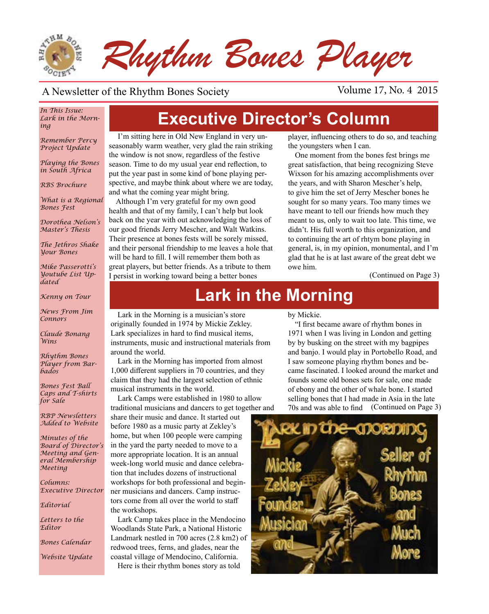

#### A Newsletter of the Rhythm Bones Society Volume 17, No. 4 2015

#### *In This Issue: Lark in the Morning*

*Remember Percy Project Update*

*Playing the Bones in South Africa*

*RBS Brochure*

*What is a Regional Bones Fest*

*Dorothea Nelson's Master's Thesis*

*The Jethros Shake Your Bones*

*Mike Passerotti's Youtube List Updated*

*Kenny on Tour* 

*News From Jim Connors*

*Claude Bonang Wins*

*Rhythm Bones Player from Barbados*

*Bones Fest Ball Caps and T-shirts for Sale*

*RBP Newsletters Added to Website* 

*Minutes of the Board of Director's Meeting and General Membership Meeting*

*Columns: Executive Director*

*Editorial*

*Letters to the Editor*

*Bones Calendar*

*Website Update*

**Executive Director's Column**

 I'm sitting here in Old New England in very unseasonably warm weather, very glad the rain striking the window is not snow, regardless of the festive season. Time to do my usual year end reflection, to put the year past in some kind of bone playing perspective, and maybe think about where we are today, and what the coming year might bring.

Although I'm very grateful for my own good health and that of my family, I can't help but look back on the year with out acknowledging the loss of our good friends Jerry Mescher, and Walt Watkins. Their presence at bones fests will be sorely missed, and their personal friendship to me leaves a hole that will be hard to fill. I will remember them both as great players, but better friends. As a tribute to them I persist in working toward being a better bones

Lark in the Morning is a musician's store

Lark specializes in hard to find musical items, instruments, music and instructional materials from

musical instruments in the world.

Lark in the Morning has imported from almost 1,000 different suppliers in 70 countries, and they claim that they had the largest selection of ethnic

Lark Camps were established in 1980 to allow

share their music and dance. It started out before 1980 as a music party at Zekley's home, but when 100 people were camping in the yard the party needed to move to a more appropriate location. It is an annual week-long world music and dance celebration that includes dozens of instructional workshops for both professional and beginner musicians and dancers. Camp instructors come from all over the world to staff

Lark Camp takes place in the Mendocino Woodlands State Park, a National Historic

redwood trees, ferns, and glades, near the coastal village of Mendocino, California. Here is their rhythm bones story as told

around the world.

the workshops.

player, influencing others to do so, and teaching the youngsters when I can.

One moment from the bones fest brings me great satisfaction, that being recognizing Steve Wixson for his amazing accomplishments over the years, and with Sharon Mescher's help, to give him the set of Jerry Mescher bones he sought for so many years. Too many times we have meant to tell our friends how much they meant to us, only to wait too late. This time, we didn't. His full worth to this organization, and to continuing the art of rhtym bone playing in general, is, in my opinion, monumental, and I'm glad that he is at last aware of the great debt we owe him.

(Continued on Page 3)

# **Lark in the Morning**

originally founded in 1974 by Mickie Zekley. by Mickie.

(Continued on Page 3) "I first became aware of rhythm bones in 1971 when I was living in London and getting by by busking on the street with my bagpipes and banjo. I would play in Portobello Road, and I saw someone playing rhythm bones and became fascinated. I looked around the market and founds some old bones sets for sale, one made of ebony and the other of whale bone. I started selling bones that I had made in Asia in the late 70s and was able to find

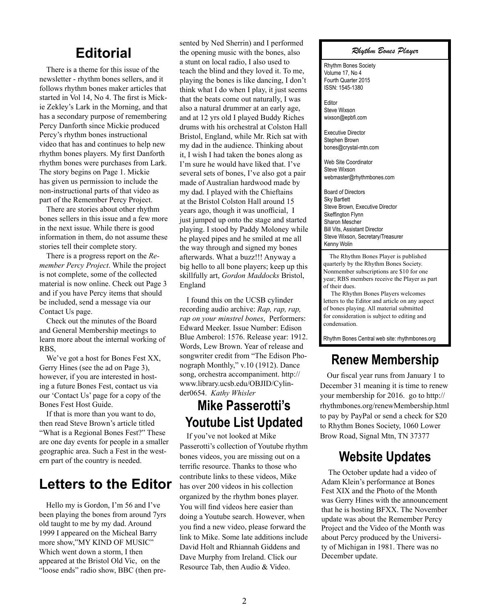#### **Editorial**

There is a theme for this issue of the newsletter - rhythm bones sellers, and it follows rhythm bones maker articles that started in Vol 14, No 4. The first is Mickie Zekley's Lark in the Morning, and that has a secondary purpose of remembering Percy Danforth since Mickie produced Percy's rhythm bones instructional video that has and continues to help new rhythm bones players. My first Danforth rhythm bones were purchases from Lark. The story begins on Page 1. Mickie has given us permission to include the non-instructional parts of that video as part of the Remember Percy Project.

There are stories about other rhythm bones sellers in this issue and a few more in the next issue. While there is good information in them, do not assume these stories tell their complete story.

There is a progress report on the *Remember Percy Project*. While the project is not complete, some of the collected material is now online. Check out Page 3 and if you have Percy items that should be included, send a message via our Contact Us page.

Check out the minutes of the Board and General Membership meetings to learn more about the internal working of RBS,

We've got a host for Bones Fest XX, Gerry Hines (see the ad on Page 3), however, if you are interested in hosting a future Bones Fest, contact us via our 'Contact Us' page for a copy of the Bones Fest Host Guide.

If that is more than you want to do, then read Steve Brown's article titled "What is a Regional Bones Fest?" These are one day events for people in a smaller geographic area. Such a Fest in the western part of the country is needed.

## **Letters to the Editor**

Hello my is Gordon, I'm 56 and I've been playing the bones from around 7yrs old taught to me by my dad. Around 1999 I appeared on the Micheal Barry more show,"MY KIND OF MUSIC" Which went down a storm, I then appeared at the Bristol Old Vic, on the "loose ends" radio show, BBC (then presented by Ned Sherrin) and I performed the opening music with the bones, also a stunt on local radio, I also used to teach the blind and they loved it. To me, playing the bones is like dancing, I don't think what I do when I play, it just seems that the beats come out naturally, I was also a natural drummer at an early age, and at 12 yrs old I played Buddy Riches drums with his orchestral at Colston Hall Bristol, England, while Mr. Rich sat with my dad in the audience. Thinking about it, I wish I had taken the bones along as I'm sure he would have liked that. I've several sets of bones, I've also got a pair made of Australian hardwood made by my dad. I played with the Chieftains at the Bristol Colston Hall around 15 years ago, though it was unofficial, I just jumped up onto the stage and started playing. I stood by Paddy Moloney while he played pipes and he smiled at me all the way through and signed my bones afterwards. What a buzz!!! Anyway a big hello to all bone players; keep up this skillfully art, *Gordon Maddocks* Bristol, England

I found this on the UCSB cylinder recording audio archive: *Rap, rap, rap, rap on your minstrel bones*, Performers: Edward Meeker. Issue Number: Edison Blue Amberol: 1576. Release year: 1912. Words, Lew Brown. Year of release and songwriter credit from "The Edison Phonograph Monthly," v.10 (1912). Dance song, orchestra accompaniment. http:// www.library.ucsb.edu/OBJID/Cylinder0654. *Kathy Whisler*

## **Mike Passerotti's Youtube List Updated**

If you've not looked at Mike Passerotti's collection of Youtube rhythm bones videos, you are missing out on a terrific resource. Thanks to those who contribute links to these videos, Mike has over 200 videos in his collection organized by the rhythm bones player. You will find videos here easier than doing a Youtube search. However, when you find a new video, please forward the link to Mike. Some late additions include David Holt and Rhiannah Giddens and Dave Murphy from Ireland. Click our Resource Tab, then Audio & Video.

#### *Rhythm Bones Player*

Rhythm Bones Society Volume 17, No 4 Fourth Quarter 2015 ISSN: 1545-1380

Editor Steve Wixson wixson@epbfi.com

Executive Director Stephen Brown bones@crystal-mtn.com

Web Site Coordinator Steve Wixson webmaster@rhythmbones.com

Board of Directors Sky Bartlett Steve Brown, Executive Director Skeffington Flynn Sharon Mescher Bill Vits, Assistant Director Steve Wixson, Secretary/Treasurer Kenny Wolin

 The Rhythm Bones Player is published quarterly by the Rhythm Bones Society. Nonmember subscriptions are \$10 for one year; RBS members receive the Player as part of their dues.

 The Rhythm Bones Players welcomes letters to the Editor and article on any aspect of bones playing. All material submitted for consideration is subject to editing and condensation.

Rhythm Bones Central web site: rhythmbones.org

## **Renew Membership**

Our fiscal year runs from January 1 to December 31 meaning it is time to renew your membership for 2016. go to http:// rhythmbones.org/renewMembership.html to pay by PayPal or send a check for \$20 to Rhythm Bones Society, 1060 Lower Brow Road, Signal Mtn, TN 37377

## **Website Updates**

The October update had a video of Adam Klein's performance at Bones Fest XIX and the Photo of the Month was Gerry Hines with the announcement that he is hosting BFXX. The November update was about the Remember Percy Project and the Video of the Month was about Percy produced by the University of Michigan in 1981. There was no December update.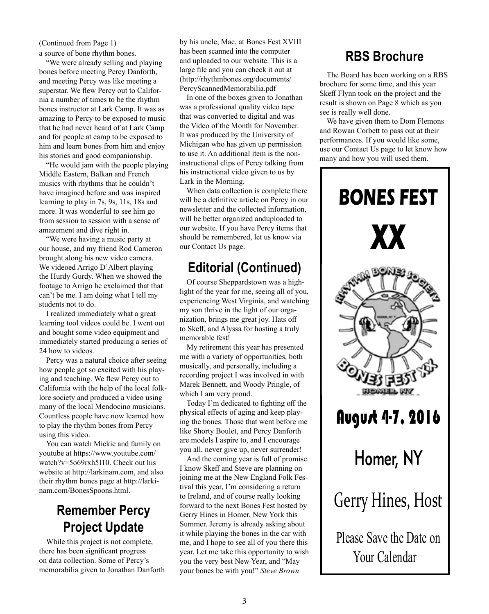a source of bone rhythm bones. (Continued from Page 1)

"We were already selling and playing bones before meeting Percy Danforth, and meeting Percy was like meeting a superstar. We flew Percy out to California a number of times to be the rhythm bones instructor at Lark Camp. It was as amazing to Percy to be exposed to music that he had never heard of at Lark Camp and for people at camp to be exposed to him and learn bones from him and enjoy his stories and good companionship.

"He would jam with the people playing Middle Eastern, Balkan and French musics with rhythms that he couldn't have imagined before and was inspired learning to play in 7s, 9s, 11s, 18s and more. It was wonderful to see him go from session to session with a sense of amazement and dive right in.

"We were having a music party at our house, and my friend Rod Cameron brought along his new video camera. We videoed Arrigo D'Albert playing the Hurdy Gurdy. When we showed the footage to Arrigo he exclaimed that that can't be me. I am doing what I tell my students not to do.

I realized immediately what a great learning tool videos could be. I went out and bought some video equipment and immediately started producing a series of 24 how to videos.

Percy was a natural choice after seeing how people got so excited with his playing and teaching. We flew Percy out to California with the help of the local folklore society and produced a video using many of the local Mendocino musicians. Countless people have now learned how to play the rhythm bones from Percy using this video.

You can watch Mickie and family on youtube at https://www.youtube.com/ watch?v=5o69rxh5I10. Check out his website at http://larkinam.com, and also their rhythm bones page at http://larkinam.com/BonesSpoons.html.

## **Remember Percy Project Update**

While this project is not complete, there has been significant progress on data collection. Some of Percy's memorabilia given to Jonathan Danforth by his uncle, Mac, at Bones Fest XVIII has been scanned into the computer and uploaded to our website. This is a large file and you can check it out at (http://rhythmbones.org/documents/ PercyScannedMemorabilia.pdf

In one of the boxes given to Jonathan was a professional quality video tape that was converted to digital and was the Video of the Month for November. It was produced by the University of Michigan who has given up permission to use it. An additional item is the noninstructional clips of Percy talking from his instructional video given to us by Lark in the Morning.

When data collection is complete there will be a definitive article on Percy in our newsletter and the collected information, will be better organized anduploaded to our website. If you have Percy items that should be remembered, let us know via our Contact Us page.

## **Editorial (Continued)**

Of course Sheppardstown was a highlight of the year for me, seeing all of you, experiencing West Virginia, and watching my son thrive in the light of our organization, brings me great joy. Hats off to Skeff, and Alyssa for hosting a truly memorable fest!

My retirement this year has presented me with a variety of opportunities, both musically, and personally, including a recording project I was involved in with Marek Bennett, and Woody Pringle, of which I am very proud.

Today I'm dedicated to fighting off the physical effects of aging and keep playing the bones. Those that went before me like Shorty Boulet, and Percy Danforth are models I aspire to, and I encourage you all, never give up, never surrender!

And the coming year is full of promise. I know Skeff and Steve are planning on joining me at the New England Folk Festival this year, I'm considering a return to Ireland, and of course really looking forward to the next Bones Fest hosted by Gerry Hines in Homer, New York this Summer. Jeremy is already asking about it while playing the bones in the car with me, and I hope to see all of you there this year. Let me take this opportunity to wish you the very best New Year, and "May your bones be with you!" *Steve Brown*

## **RBS Brochure**

The Board has been working on a RBS brochure for some time, and this year Skeff Flynn took on the project and the result is shown on Page 8 which as you see is really well done.

We have given them to Dom Flemons and Rowan Corbett to pass out at their performances. If you would like some, use our Contact Us page to let know how many and how you will used them.

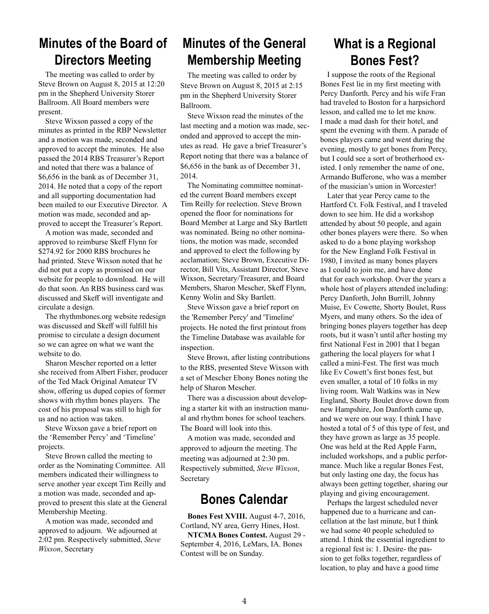## **Minutes of the Board of Directors Meeting**

The meeting was called to order by Steve Brown on August 8, 2015 at 12:20 pm in the Shepherd University Storer Ballroom. All Board members were present.

Steve Wixson passed a copy of the minutes as printed in the RBP Newsletter and a motion was made, seconded and approved to accept the minutes. He also passed the 2014 RBS Treasurer's Report and noted that there was a balance of \$6,656 in the bank as of December 31, 2014. He noted that a copy of the report and all supporting documentation had been mailed to our Executive Director. A motion was made, seconded and approved to accept the Treasurer's Report.

A motion was made, seconded and approved to reimburse Skeff Flynn for \$274.92 for 2000 RBS brochures he had printed. Steve Wixson noted that he did not put a copy as promised on our website for people to download. He will do that soon. An RBS business card was discussed and Skeff will inventigate and circulate a design.

The rhythmbones.org website redesign was discussed and Skeff will fulfill his promise to circulate a design document so we can agree on what we want the website to do.

Sharon Mescher reported on a letter she received from Albert Fisher, producer of the Ted Mack Original Amateur TV show, offering us duped copies of former shows with rhythm bones players. The cost of his proposal was still to high for us and no action was taken.

Steve Wixson gave a brief report on the 'Remember Percy' and 'Timeline' projects.

Steve Brown called the meeting to order as the Nominating Committee. All members indicated their willingness to serve another year except Tim Reilly and a motion was made, seconded and approved to present this slate at the General Membership Meeting.

A motion was made, seconded and approved to adjourn. We adjourned at 2:02 pm. Respectively submitted, *Steve Wixson*, Secretary

## **Minutes of the General Membership Meeting**

The meeting was called to order by Steve Brown on August 8, 2015 at 2:15 pm in the Shepherd University Storer Ballroom.

Steve Wixson read the minutes of the last meeting and a motion was made, seconded and approved to accept the minutes as read. He gave a brief Treasurer's Report noting that there was a balance of \$6,656 in the bank as of December 31, 2014.

The Nominating committee nominated the current Board members except Tim Reilly for reelection. Steve Brown opened the floor for nominations for Board Member at Large and Sky Bartlett was nominated. Being no other nominations, the motion was made, seconded and approved to elect the following by acclamation; Steve Brown, Executive Director, Bill Vits, Assistant Director, Steve Wixson, Secretary/Treasurer, and Board Members, Sharon Mescher, Skeff Flynn, Kenny Wolin and Sky Bartlett.

Steve Wixson gave a brief report on the 'Remember Percy' and 'Timeline' projects. He noted the first printout from the Timeline Database was available for inspection.

Steve Brown, after listing contributions to the RBS, presented Steve Wixson with a set of Mescher Ebony Bones noting the help of Sharon Mescher.

There was a discussion about developing a starter kit with an instruction manual and rhythm bones for school teachers. The Board will look into this.

A motion was made, seconded and approved to adjourn the meeting. The meeting was adjourned at 2:30 pm. Respectively submitted, *Steve Wixson*, Secretary

#### **Bones Calendar**

**Bones Fest XVIII.** August 4-7, 2016, Cortland, NY area, Gerry Hines, Host. **NTCMA Bones Contest.** August 29 - September 4, 2016, LeMars, IA. Bones Contest will be on Sunday.

## **What is a Regional Bones Fest?**

I suppose the roots of the Regional Bones Fest lie in my first meeting with Percy Danforth. Percy and his wife Fran had traveled to Boston for a harpsichord lesson, and called me to let me know. I made a mad dash for their hotel, and spent the evening with them. A parade of bones players came and went during the evening, mostly to get bones from Percy, but I could see a sort of brotherhood existed. I only remember the name of one, Armando Bufferone, who was a member of the musician's union in Worcester!

Later that year Percy came to the Hartford Ct. Folk Festival, and I traveled down to see him. He did a workshop attended by about 50 people, and again other bones players were there. So when asked to do a bone playing workshop for the New England Folk Festival in 1980, I invited as many bones players as I could to join me, and have done that for each workshop. Over the years a whole host of players attended including: Percy Danforth, John Burrill, Johnny Muise, Ev Cowette, Shorty Boulet, Russ Myers, and many others. So the idea of bringing bones players together has deep roots, but it wasn't until after hosting my first National Fest in 2001 that I began gathering the local players for what I called a mini-Fest. The first was much like Ev Cowett's first bones fest, but even smaller, a total of 10 folks in my living room. Walt Watkins was in New England, Shorty Boulet drove down from new Hampshire, Jon Danforth came up, and we were on our way. I think I have hosted a total of 5 of this type of fest, and they have grown as large as 35 people. One was held at the Red Apple Farm, included workshops, and a public performance. Much like a regular Bones Fest, but only lasting one day, the focus has always been getting together, sharing our playing and giving encouragement.

Perhaps the largest scheduled never happened due to a hurricane and cancellation at the last minute, but I think we had some 40 people scheduled to attend. I think the essential ingredient to a regional fest is: 1. Desire- the passion to get folks together, regardless of location, to play and have a good time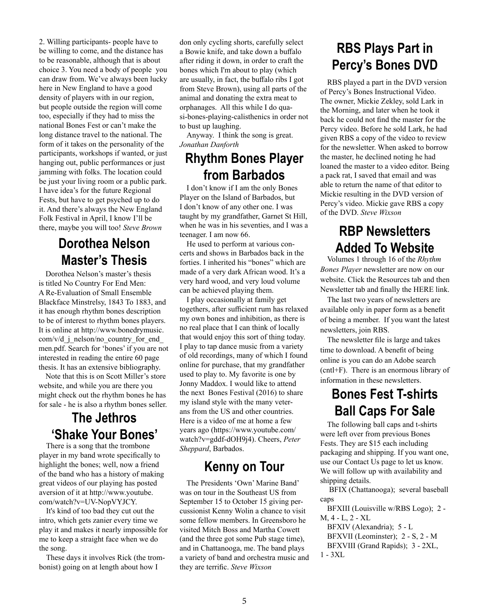2. Willing participants- people have to be willing to come, and the distance has to be reasonable, although that is about choice 3. You need a body of people you can draw from. We've always been lucky here in New England to have a good density of players with in our region, but people outside the region will come too, especially if they had to miss the national Bones Fest or can't make the long distance travel to the national. The form of it takes on the personality of the participants, workshops if wanted, or just hanging out, public performances or just jamming with folks. The location could be just your living room or a public park. I have idea's for the future Regional Fests, but have to get psyched up to do it. And there's always the New England Folk Festival in April, I know I'll be there, maybe you will too! *Steve Brown*

## **Dorothea Nelson Master's Thesis**

Dorothea Nelson's master's thesis is titled No Country For End Men: A Re-Evaluation of Small Ensemble Blackface Minstrelsy, 1843 To 1883, and it has enough rhythm bones description to be of interest to rhythm bones players. It is online at http://www.bonedrymusic.  $\text{com/v/d}$  i nelson/no country for end men.pdf. Search for 'bones' if you are not interested in reading the entire 60 page thesis. It has an extensive bibliography.

Note that this is on Scott Miller's store website, and while you are there you might check out the rhythm bones he has for sale - he is also a rhythm bones seller.

## **The Jethros 'Shake Your Bones'**

There is a song that the trombone player in my band wrote specifically to highlight the bones; well, now a friend of the band who has a history of making great videos of our playing has posted aversion of it at http://www.youtube. com/watch?v=UV-NopVYJCY.

It's kind of too bad they cut out the intro, which gets zanier every time we play it and makes it nearly impossible for me to keep a straight face when we do the song.

These days it involves Rick (the trombonist) going on at length about how I

don only cycling shorts, carefully select a Bowie knife, and take down a buffalo after riding it down, in order to craft the bones which I'm about to play (which are usually, in fact, the buffalo ribs I got from Steve Brown), using all parts of the animal and donating the extra meat to orphanages. All this while I do quasi-bones-playing-calisthenics in order not to bust up laughing.

Anyway. I think the song is great. *Jonathan Danforth*

#### **Rhythm Bones Player from Barbados**

I don't know if I am the only Bones Player on the Island of Barbados, but I don't know of any other one. I was taught by my grandfather, Garnet St Hill, when he was in his seventies, and I was a teenager. I am now 66.

He used to perform at various concerts and shows in Barbados back in the forties. I inherited his "bones" which are made of a very dark African wood. It's a very hard wood, and very loud volume can be achieved playing them.

I play occasionally at family get togethers, after sufficient rum has relaxed my own bones and inhibition, as there is no real place that I can think of locally that would enjoy this sort of thing today. I play to tap dance music from a variety of old recordings, many of which I found online for purchase, that my grandfather used to play to. My favorite is one by Jonny Maddox. I would like to attend the next Bones Festival (2016) to share my island style with the many veterans from the US and other countries. Here is a video of me at home a few years ago (https://www.youtube.com/ watch?v=gddf-dOH9j4). Cheers, *Peter Sheppard*, Barbados.

#### **Kenny on Tour**

The Presidents 'Own' Marine Band' was on tour in the Southeast US from September 15 to October 15 giving percussionist Kenny Wolin a chance to visit some fellow members. In Greensboro he visited Mitch Boss and Martha Cowett (and the three got some Pub stage time), and in Chattanooga, me. The band plays a variety of band and orchestra music and they are terrific. *Steve Wixson*

## **RBS Plays Part in Percy's Bones DVD**

RBS played a part in the DVD version of Percy's Bones Instructional Video. The owner, Mickie Zekley, sold Lark in the Morning, and later when he took it back he could not find the master for the Percy video. Before he sold Lark, he had given RBS a copy of the video to review for the newsletter. When asked to borrow the master, he declined noting he had loaned the master to a video editor. Being a pack rat, I saved that email and was able to return the name of that editor to Mickie resulting in the DVD version of Percy's video. Mickie gave RBS a copy of the DVD. *Steve Wixson*

## **RBP Newsletters Added To Website**

Volumes 1 through 16 of the *Rhythm Bones Player* newsletter are now on our website. Click the Resources tab and then Newsletter tab and finally the HERE link.

The last two years of newsletters are available only in paper form as a benefit of being a member. If you want the latest newsletters, join RBS.

The newsletter file is large and takes time to download. A benefit of being online is you can do an Adobe search (cntl+F). There is an enormous library of information in these newsletters.

## **Bones Fest T-shirts Ball Caps For Sale**

The following ball caps and t-shirts were left over from previous Bones Fests. They are \$15 each including packaging and shipping. If you want one, use our Contact Us page to let us know. We will follow up with availability and shipping details.

 BFIX (Chattanooga); several baseball caps

BFXIII (Louisville w/RBS Logo); 2 - M, 4 - L, 2 - XL BFXIV (Alexandria); 5 - L BFXVII (Leominster); 2 - S, 2 - M BFXVIII (Grand Rapids); 3 - 2XL, 1 - 3XL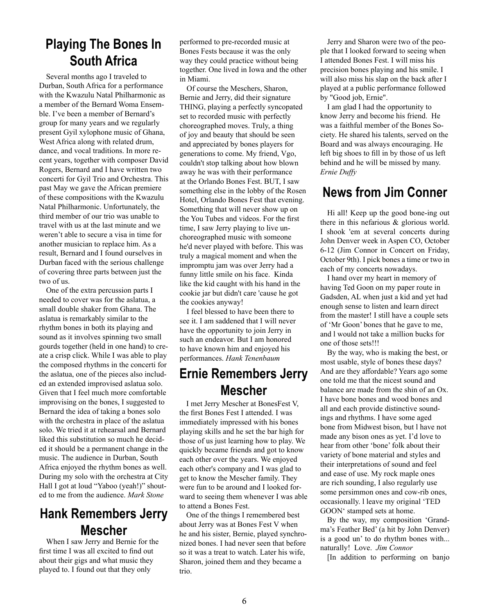## **Playing The Bones In South Africa**

Several months ago I traveled to Durban, South Africa for a performance with the Kwazulu Natal Philharmonic as a member of the Bernard Woma Ensemble. I've been a member of Bernard's group for many years and we regularly present Gyil xylophone music of Ghana, West Africa along with related drum, dance, and vocal traditions. In more recent years, together with composer David Rogers, Bernard and I have written two concerti for Gyil Trio and Orchestra. This past May we gave the African premiere of these compositions with the Kwazulu Natal Philharmonic. Unfortunately, the third member of our trio was unable to travel with us at the last minute and we weren't able to secure a visa in time for another musician to replace him. As a result, Bernard and I found ourselves in Durban faced with the serious challenge of covering three parts between just the two of us.

One of the extra percussion parts I needed to cover was for the aslatua, a small double shaker from Ghana. The aslatua is remarkably similar to the rhythm bones in both its playing and sound as it involves spinning two small gourds together (held in one hand) to create a crisp click. While I was able to play the composed rhythms in the concerti for the aslatua, one of the pieces also included an extended improvised aslatua solo. Given that I feel much more comfortable improvising on the bones, I suggested to Bernard the idea of taking a bones solo with the orchestra in place of the aslatua solo. We tried it at rehearsal and Bernard liked this substitution so much he decided it should be a permanent change in the music. The audience in Durban, South Africa enjoyed the rhythm bones as well. During my solo with the orchestra at City Hall I got at loud "Yaboo (yeah!)" shouted to me from the audience. *Mark Stone*

## **Hank Remembers Jerry Mescher**

When I saw Jerry and Bernie for the first time I was all excited to find out about their gigs and what music they played to. I found out that they only

performed to pre-recorded music at Bones Fests because it was the only way they could practice without being together. One lived in Iowa and the other in Miami.

Of course the Meschers, Sharon, Bernie and Jerry, did their signature THING, playing a perfectly syncopated set to recorded music with perfectly choreographed moves. Truly, a thing of joy and beauty that should be seen and appreciated by bones players for generations to come. My friend, Vgo, couldn't stop talking about how blown away he was with their performance at the Orlando Bones Fest. BUT, I saw something else in the lobby of the Rosen Hotel, Orlando Bones Fest that evening. Something that will never show up on the You Tubes and videos. For the first time, I saw Jerry playing to live unchoreographed music with someone he'd never played with before. This was truly a magical moment and when the impromptu jam was over Jerry had a funny little smile on his face. Kinda like the kid caught with his hand in the cookie jar but didn't care 'cause he got the cookies anyway!

I feel blessed to have been there to see it. I am saddened that I will never have the opportunity to join Jerry in such an endeavor. But I am honored to have known him and enjoyed his performances. *Hank Tenenbaum*

#### **Ernie Remembers Jerry Mescher**

I met Jerry Mescher at BonesFest V, the first Bones Fest I attended. I was immediately impressed with his bones playing skills and he set the bar high for those of us just learning how to play. We quickly became friends and got to know each other over the years. We enjoyed each other's company and I was glad to get to know the Mescher family. They were fun to be around and I looked forward to seeing them whenever I was able to attend a Bones Fest.

One of the things I remembered best about Jerry was at Bones Fest V when he and his sister, Bernie, played synchronized bones. I had never seen that before so it was a treat to watch. Later his wife, Sharon, joined them and they became a trio.

Jerry and Sharon were two of the people that I looked forward to seeing when I attended Bones Fest. I will miss his precision bones playing and his smile. I will also miss his slap on the back after I played at a public performance followed by "Good job, Ernie".

I am glad I had the opportunity to know Jerry and become his friend. He was a faithful member of the Bones Society. He shared his talents, served on the Board and was always encouraging. He left big shoes to fill in by those of us left behind and he will be missed by many. *Ernie Duffy*

#### **News from Jim Conner**

Hi all! Keep up the good bone-ing out there in this nefarious & glorious world. I shook 'em at several concerts during John Denver week in Aspen CO, October 6-12 (Jim Connor in Concert on Friday, October 9th). I pick bones a time or two in each of my concerts nowadays.

I hand over my heart in memory of having Ted Goon on my paper route in Gadsden, AL when just a kid and yet had enough sense to listen and learn direct from the master! I still have a couple sets of 'Mr Goon' bones that he gave to me, and l would not take a million bucks for one of those sets!!!

By the way, who is making the best, or most usable, style of bones these days? And are they affordable? Years ago some one told me that the nicest sound and balance are made from the shin of an Ox. I have bone bones and wood bones and all and each provide distinctive soundings and rhythms. I have some aged bone from Midwest bison, but l have not made any bison ones as yet. I'd love to hear from other 'bone' folk about their variety of bone material and styles and their interpretations of sound and feel and ease of use. My rock maple ones are rich sounding, I also regularly use some persimmon ones and cow-rib ones, occasionally. l leave my original 'TED GOON' stamped sets at home.

By the way, my composition 'Grandma's Feather Bed' (a hit by John Denver) is a good un' to do rhythm bones with... naturally! Love. *Jim Connor* 

[In addition to performing on banjo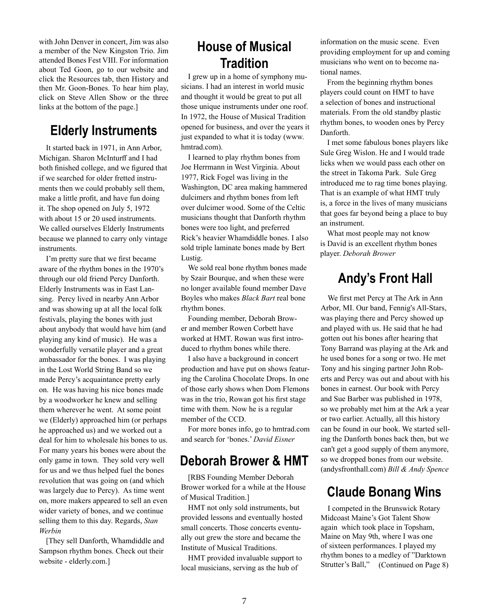with John Denver in concert, Jim was also a member of the New Kingston Trio. Jim attended Bones Fest VIII. For information about Ted Goon, go to our website and click the Resources tab, then History and then Mr. Goon-Bones. To hear him play, click on Steve Allen Show or the three links at the bottom of the page.]

#### **Elderly Instruments**

It started back in 1971, in Ann Arbor, Michigan. Sharon McInturff and I had both finished college, and we figured that if we searched for older fretted instruments then we could probably sell them, make a little profit, and have fun doing it. The shop opened on July 5, 1972 with about 15 or 20 used instruments. We called ourselves Elderly Instruments because we planned to carry only vintage instruments.

I'm pretty sure that we first became aware of the rhythm bones in the 1970's through our old friend Percy Danforth. Elderly Instruments was in East Lansing. Percy lived in nearby Ann Arbor and was showing up at all the local folk festivals, playing the bones with just about anybody that would have him (and playing any kind of music). He was a wonderfully versatile player and a great ambassador for the bones. I was playing in the Lost World String Band so we made Percy's acquaintance pretty early on. He was having his nice bones made by a woodworker he knew and selling them wherever he went. At some point we (Elderly) approached him (or perhaps he approached us) and we worked out a deal for him to wholesale his bones to us. For many years his bones were about the only game in town. They sold very well for us and we thus helped fuel the bones revolution that was going on (and which was largely due to Percy). As time went on, more makers appeared to sell an even wider variety of bones, and we continue selling them to this day. Regards, *Stan Werbin* 

[They sell Danforth, Whamdiddle and Sampson rhythm bones. Check out their website - elderly.com.]

## **House of Musical Tradition**

I grew up in a home of symphony musicians. I had an interest in world music and thought it would be great to put all those unique instruments under one roof. In 1972, the House of Musical Tradition opened for business, and over the years it just expanded to what it is today (www. hmtrad.com).

I learned to play rhythm bones from Joe Herrmann in West Virginia. About 1977, Rick Fogel was living in the Washington, DC area making hammered dulcimers and rhythm bones from left over dulcimer wood. Some of the Celtic musicians thought that Danforth rhythm bones were too light, and preferred Rick's heavier Whamdiddle bones. I also sold triple laminate bones made by Bert Lustig.

We sold real bone rhythm bones made by Szair Bourque, and when these were no longer available found member Dave Boyles who makes *Black Bart* real bone rhythm bones.

Founding member, Deborah Brower and member Rowen Corbett have worked at HMT. Rowan was first introduced to rhythm bones while there.

I also have a background in concert production and have put on shows featuring the Carolina Chocolate Drops. In one of those early shows when Dom Flemons was in the trio, Rowan got his first stage time with them. Now he is a regular member of the CCD.

For more bones info, go to hmtrad.com and search for 'bones.' *David Eisner*

#### **Deborah Brower & HMT**

[RBS Founding Member Deborah Brower worked for a while at the House of Musical Tradition.]

HMT not only sold instruments, but provided lessons and eventually hosted small concerts. Those concerts eventually out grew the store and became the Institute of Musical Traditions.

HMT provided invaluable support to local musicians, serving as the hub of

information on the music scene. Even providing employment for up and coming musicians who went on to become national names.

From the beginning rhythm bones players could count on HMT to have a selection of bones and instructional materials. From the old standby plastic rhythm bones, to wooden ones by Percy Danforth.

I met some fabulous bones players like Sule Greg Wislon. He and I would trade licks when we would pass each other on the street in Takoma Park. Sule Greg introduced me to rag time bones playing. That is an example of what HMT truly is, a force in the lives of many musicians that goes far beyond being a place to buy an instrument.

What most people may not know is David is an excellent rhythm bones player. *Deborah Brower*

## **Andy's Front Hall**

We first met Percy at The Ark in Ann Arbor, MI. Our band, Fennig's All-Stars, was playing there and Percy showed up and played with us. He said that he had gotten out his bones after hearing that Tony Barrand was playing at the Ark and he used bones for a song or two. He met Tony and his singing partner John Roberts and Percy was out and about with his bones in earnest. Our book with Percy and Sue Barber was published in 1978, so we probably met him at the Ark a year or two earlier. Actually, all this history can be found in our book. We started selling the Danforth bones back then, but we can't get a good supply of them anymore, so we dropped bones from our website. (andysfronthall.com) *Bill & Andy Spence*

## **Claude Bonang Wins**

I competed in the Brunswick Rotary Midcoast Maine's Got Talent Show again which took place in Topsham, Maine on May 9th, where I was one of sixteen performances. I played my rhythm bones to a medley of "Darktown Strutter's Ball," (Continued on Page 8)